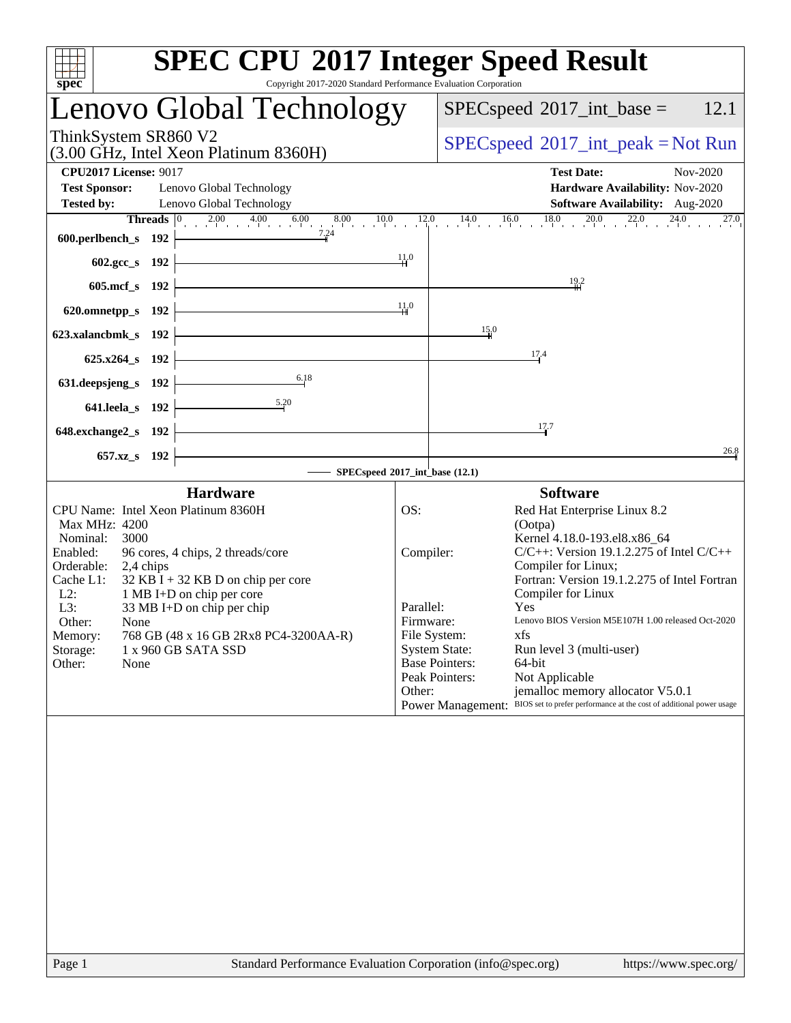| spec                                                                                                                                                                                                                                                                                                                                                                                                             | <b>SPEC CPU®2017 Integer Speed Result</b><br>Copyright 2017-2020 Standard Performance Evaluation Corporation                                                                                                                                                                                                                                                                                                                                                                                                                                                                                                               |
|------------------------------------------------------------------------------------------------------------------------------------------------------------------------------------------------------------------------------------------------------------------------------------------------------------------------------------------------------------------------------------------------------------------|----------------------------------------------------------------------------------------------------------------------------------------------------------------------------------------------------------------------------------------------------------------------------------------------------------------------------------------------------------------------------------------------------------------------------------------------------------------------------------------------------------------------------------------------------------------------------------------------------------------------------|
| Lenovo Global Technology                                                                                                                                                                                                                                                                                                                                                                                         | 12.1<br>$SPEC speed^{\circ}2017\_int\_base =$                                                                                                                                                                                                                                                                                                                                                                                                                                                                                                                                                                              |
| ThinkSystem SR860 V2<br>(3.00 GHz, Intel Xeon Platinum 8360H)                                                                                                                                                                                                                                                                                                                                                    | $SPEC speed^{\circ}2017\_int\_peak = Not Run$                                                                                                                                                                                                                                                                                                                                                                                                                                                                                                                                                                              |
| <b>CPU2017 License: 9017</b><br><b>Test Sponsor:</b><br>Lenovo Global Technology<br><b>Tested by:</b><br>Lenovo Global Technology                                                                                                                                                                                                                                                                                | <b>Test Date:</b><br>Nov-2020<br>Hardware Availability: Nov-2020<br>Software Availability: Aug-2020                                                                                                                                                                                                                                                                                                                                                                                                                                                                                                                        |
| 600.perlbench_s 192                                                                                                                                                                                                                                                                                                                                                                                              | 27.0                                                                                                                                                                                                                                                                                                                                                                                                                                                                                                                                                                                                                       |
| 602.gcc_s 192 $\vert$                                                                                                                                                                                                                                                                                                                                                                                            | $\frac{11.0}{4}$<br>$\frac{19.2}{1}$                                                                                                                                                                                                                                                                                                                                                                                                                                                                                                                                                                                       |
| 605.mcf_s $192$<br>620.omnetpp_s $192$                                                                                                                                                                                                                                                                                                                                                                           | 11.0                                                                                                                                                                                                                                                                                                                                                                                                                                                                                                                                                                                                                       |
| <u> 1989 - Johann Barn, mars ann an t-Amhair an t-Amhair an t-Amhair an t-Amhair an t-Amhair an t-Amhair an t-Amh</u><br>623.xalancbmk_s $192$                                                                                                                                                                                                                                                                   | 15.0                                                                                                                                                                                                                                                                                                                                                                                                                                                                                                                                                                                                                       |
| <u> 1989 - Johann Barn, mars ann an t-Amhair an t-Amhair an t-Amhair an t-Amhair an t-Amhair an t-Amhair an t-Amh</u><br>$625.x264_s 192$                                                                                                                                                                                                                                                                        | 17.4                                                                                                                                                                                                                                                                                                                                                                                                                                                                                                                                                                                                                       |
| 6.18<br>631. deepsjeng_s 192 $\vdash$<br>5.20<br>641.leela_s $192$ $\vdash$                                                                                                                                                                                                                                                                                                                                      |                                                                                                                                                                                                                                                                                                                                                                                                                                                                                                                                                                                                                            |
| 648.exchange $2$ _s 192 $\vdash$                                                                                                                                                                                                                                                                                                                                                                                 | 17.7                                                                                                                                                                                                                                                                                                                                                                                                                                                                                                                                                                                                                       |
| <u> 1989 - Johann Barbara, martxa amerikan per</u><br>657.xz_s 192                                                                                                                                                                                                                                                                                                                                               | 26.8<br>$-$ SPECspeed®2017_int_base (12.1)                                                                                                                                                                                                                                                                                                                                                                                                                                                                                                                                                                                 |
| <b>Hardware</b>                                                                                                                                                                                                                                                                                                                                                                                                  | <b>Software</b>                                                                                                                                                                                                                                                                                                                                                                                                                                                                                                                                                                                                            |
| CPU Name: Intel Xeon Platinum 8360H<br>Max MHz: 4200<br>3000<br>Nominal:<br>Enabled:<br>96 cores, 4 chips, 2 threads/core<br>Orderable:<br>2,4 chips<br>$32$ KB I + 32 KB D on chip per core<br>Cache L1:<br>$L2$ :<br>1 MB I+D on chip per core<br>L3:<br>33 MB I+D on chip per chip<br>Other:<br>None<br>768 GB (48 x 16 GB 2Rx8 PC4-3200AA-R)<br>Memory:<br>1 x 960 GB SATA SSD<br>Storage:<br>Other:<br>None | OS:<br>Red Hat Enterprise Linux 8.2<br>(Ootpa)<br>Kernel 4.18.0-193.el8.x86 64<br>Compiler:<br>$C/C++$ : Version 19.1.2.275 of Intel $C/C++$<br>Compiler for Linux;<br>Fortran: Version 19.1.2.275 of Intel Fortran<br>Compiler for Linux<br>Parallel:<br>Yes<br>Lenovo BIOS Version M5E107H 1.00 released Oct-2020<br>Firmware:<br>File System:<br>xfs<br><b>System State:</b><br>Run level 3 (multi-user)<br><b>Base Pointers:</b><br>64-bit<br>Peak Pointers:<br>Not Applicable<br>Other:<br>jemalloc memory allocator V5.0.1<br>Power Management: BIOS set to prefer performance at the cost of additional power usage |
|                                                                                                                                                                                                                                                                                                                                                                                                                  |                                                                                                                                                                                                                                                                                                                                                                                                                                                                                                                                                                                                                            |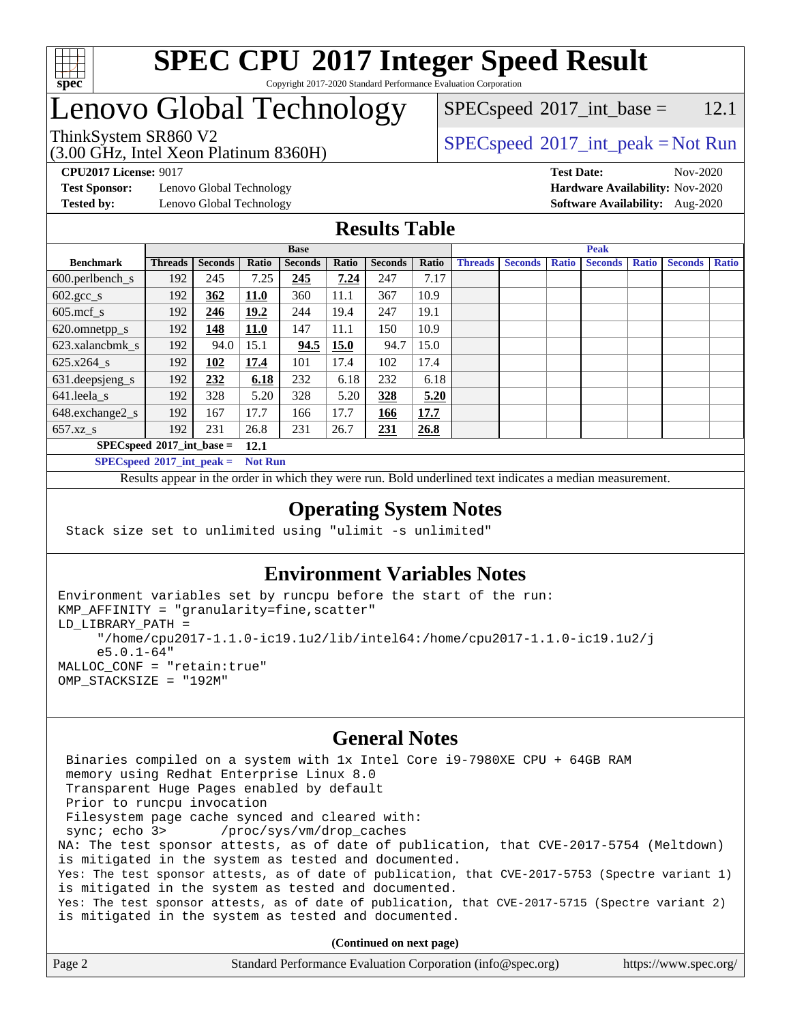

# Lenovo Global Technology

(3.00 GHz, Intel Xeon Platinum 8360H)

 $SPECspeed^{\circ}2017\_int\_base =$  $SPECspeed^{\circ}2017\_int\_base =$  12.1

### ThinkSystem SR860 V2  $\begin{array}{c} \text{SPEC speed} \textdegree 2017\_int\_peak = Not Run \end{array}$

**[CPU2017 License:](http://www.spec.org/auto/cpu2017/Docs/result-fields.html#CPU2017License)** 9017 **[Test Date:](http://www.spec.org/auto/cpu2017/Docs/result-fields.html#TestDate)** Nov-2020

**[Test Sponsor:](http://www.spec.org/auto/cpu2017/Docs/result-fields.html#TestSponsor)** Lenovo Global Technology **[Hardware Availability:](http://www.spec.org/auto/cpu2017/Docs/result-fields.html#HardwareAvailability)** Nov-2020

**[Tested by:](http://www.spec.org/auto/cpu2017/Docs/result-fields.html#Testedby)** Lenovo Global Technology **[Software Availability:](http://www.spec.org/auto/cpu2017/Docs/result-fields.html#SoftwareAvailability)** Aug-2020

#### **[Results Table](http://www.spec.org/auto/cpu2017/Docs/result-fields.html#ResultsTable)**

|                                            | <b>Base</b>    |                |             |                |       | <b>Peak</b>    |       |                |                |              |                |              |                |              |
|--------------------------------------------|----------------|----------------|-------------|----------------|-------|----------------|-------|----------------|----------------|--------------|----------------|--------------|----------------|--------------|
| <b>Benchmark</b>                           | <b>Threads</b> | <b>Seconds</b> | Ratio       | <b>Seconds</b> | Ratio | <b>Seconds</b> | Ratio | <b>Threads</b> | <b>Seconds</b> | <b>Ratio</b> | <b>Seconds</b> | <b>Ratio</b> | <b>Seconds</b> | <b>Ratio</b> |
| $600.$ perlbench $\mathsf{S}$              | 192            | 245            | 7.25        | 245            | 7.24  | 247            | 7.17  |                |                |              |                |              |                |              |
| $602.\text{sec}\_\text{s}$                 | 192            | 362            | 11.0        | 360            | 11.1  | 367            | 10.9  |                |                |              |                |              |                |              |
| $605$ .mcf s                               | 192            | 246            | 19.2        | 244            | 19.4  | 247            | 19.1  |                |                |              |                |              |                |              |
| 620.omnetpp_s                              | 192            | 148            | <b>11.0</b> | 147            | 11.1  | 150            | 10.9  |                |                |              |                |              |                |              |
| 623.xalancbmk s                            | 192            | 94.0           | 15.1        | 94.5           | 15.0  | 94.7           | 15.0  |                |                |              |                |              |                |              |
| $625.x264$ s                               | 192            | 102            | 17.4        | 101            | 17.4  | 102            | 17.4  |                |                |              |                |              |                |              |
| 631.deepsjeng_s                            | 192            | 232            | 6.18        | 232            | 6.18  | 232            | 6.18  |                |                |              |                |              |                |              |
| 641.leela s                                | 192            | 328            | 5.20        | 328            | 5.20  | 328            | 5.20  |                |                |              |                |              |                |              |
| 648.exchange2_s                            | 192            | 167            | 17.7        | 166            | 17.7  | 166            | 17.7  |                |                |              |                |              |                |              |
| $657.xz$ s                                 | 192            | 231            | 26.8        | 231            | 26.7  | 231            | 26.8  |                |                |              |                |              |                |              |
| $SPECspeed*2017$ int base =<br><b>12.1</b> |                |                |             |                |       |                |       |                |                |              |                |              |                |              |

**[SPECspeed](http://www.spec.org/auto/cpu2017/Docs/result-fields.html#SPECspeed2017intpeak)[2017\\_int\\_peak =](http://www.spec.org/auto/cpu2017/Docs/result-fields.html#SPECspeed2017intpeak) Not Run**

Results appear in the [order in which they were run.](http://www.spec.org/auto/cpu2017/Docs/result-fields.html#RunOrder) Bold underlined text [indicates a median measurement.](http://www.spec.org/auto/cpu2017/Docs/result-fields.html#Median)

#### **[Operating System Notes](http://www.spec.org/auto/cpu2017/Docs/result-fields.html#OperatingSystemNotes)**

Stack size set to unlimited using "ulimit -s unlimited"

### **[Environment Variables Notes](http://www.spec.org/auto/cpu2017/Docs/result-fields.html#EnvironmentVariablesNotes)**

```
Environment variables set by runcpu before the start of the run:
KMP_AFFINITY = "granularity=fine,scatter"
LD_LIBRARY_PATH =
      "/home/cpu2017-1.1.0-ic19.1u2/lib/intel64:/home/cpu2017-1.1.0-ic19.1u2/j
      e5.0.1-64"
MALLOC_CONF = "retain:true"
OMP_STACKSIZE = "192M"
```
#### **[General Notes](http://www.spec.org/auto/cpu2017/Docs/result-fields.html#GeneralNotes)**

 Binaries compiled on a system with 1x Intel Core i9-7980XE CPU + 64GB RAM memory using Redhat Enterprise Linux 8.0 Transparent Huge Pages enabled by default Prior to runcpu invocation Filesystem page cache synced and cleared with: sync; echo 3> /proc/sys/vm/drop\_caches NA: The test sponsor attests, as of date of publication, that CVE-2017-5754 (Meltdown) is mitigated in the system as tested and documented. Yes: The test sponsor attests, as of date of publication, that CVE-2017-5753 (Spectre variant 1) is mitigated in the system as tested and documented. Yes: The test sponsor attests, as of date of publication, that CVE-2017-5715 (Spectre variant 2) is mitigated in the system as tested and documented.

**(Continued on next page)**

| Page 2 | Standard Performance Evaluation Corporation (info@spec.org) | https://www.spec.org/ |
|--------|-------------------------------------------------------------|-----------------------|
|--------|-------------------------------------------------------------|-----------------------|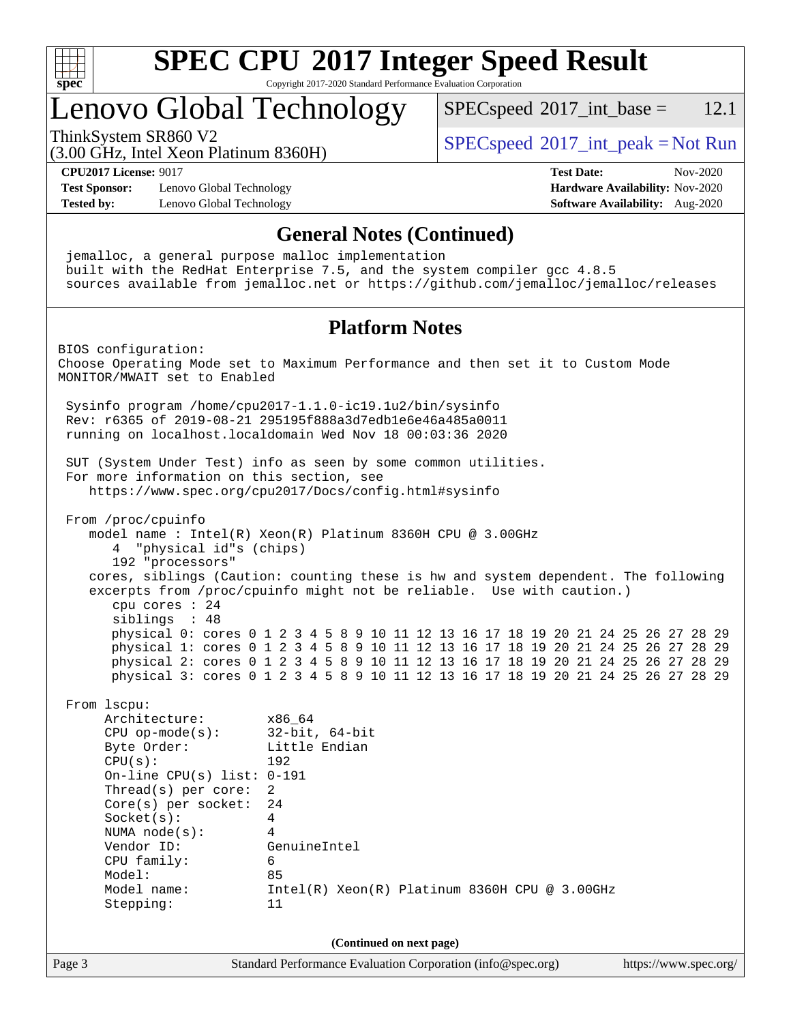

# Lenovo Global Technology

 $SPECspeed^{\circ}2017\_int\_base = 12.1$  $SPECspeed^{\circ}2017\_int\_base = 12.1$ 

(3.00 GHz, Intel Xeon Platinum 8360H)

ThinkSystem SR860 V2  $\begin{array}{c} \text{SPEC speed} \textdegree 2017\_int\_peak = Not Run \end{array}$ 

**[CPU2017 License:](http://www.spec.org/auto/cpu2017/Docs/result-fields.html#CPU2017License)** 9017 **[Test Date:](http://www.spec.org/auto/cpu2017/Docs/result-fields.html#TestDate)** Nov-2020

**[Test Sponsor:](http://www.spec.org/auto/cpu2017/Docs/result-fields.html#TestSponsor)** Lenovo Global Technology **[Hardware Availability:](http://www.spec.org/auto/cpu2017/Docs/result-fields.html#HardwareAvailability)** Nov-2020 **[Tested by:](http://www.spec.org/auto/cpu2017/Docs/result-fields.html#Testedby)** Lenovo Global Technology **[Software Availability:](http://www.spec.org/auto/cpu2017/Docs/result-fields.html#SoftwareAvailability)** Aug-2020

**[General Notes \(Continued\)](http://www.spec.org/auto/cpu2017/Docs/result-fields.html#GeneralNotes)** jemalloc, a general purpose malloc implementation built with the RedHat Enterprise 7.5, and the system compiler gcc 4.8.5 sources available from jemalloc.net or <https://github.com/jemalloc/jemalloc/releases> **[Platform Notes](http://www.spec.org/auto/cpu2017/Docs/result-fields.html#PlatformNotes)** BIOS configuration: Choose Operating Mode set to Maximum Performance and then set it to Custom Mode MONITOR/MWAIT set to Enabled Sysinfo program /home/cpu2017-1.1.0-ic19.1u2/bin/sysinfo Rev: r6365 of 2019-08-21 295195f888a3d7edb1e6e46a485a0011 running on localhost.localdomain Wed Nov 18 00:03:36 2020 SUT (System Under Test) info as seen by some common utilities. For more information on this section, see <https://www.spec.org/cpu2017/Docs/config.html#sysinfo> From /proc/cpuinfo model name : Intel(R) Xeon(R) Platinum 8360H CPU @ 3.00GHz 4 "physical id"s (chips) 192 "processors" cores, siblings (Caution: counting these is hw and system dependent. The following excerpts from /proc/cpuinfo might not be reliable. Use with caution.) cpu cores : 24 siblings : 48 physical 0: cores 0 1 2 3 4 5 8 9 10 11 12 13 16 17 18 19 20 21 24 25 26 27 28 29 physical 1: cores 0 1 2 3 4 5 8 9 10 11 12 13 16 17 18 19 20 21 24 25 26 27 28 29 physical 2: cores 0 1 2 3 4 5 8 9 10 11 12 13 16 17 18 19 20 21 24 25 26 27 28 29 physical 3: cores 0 1 2 3 4 5 8 9 10 11 12 13 16 17 18 19 20 21 24 25 26 27 28 29 From lscpu: Architecture: x86\_64 CPU op-mode(s): 32-bit, 64-bit Byte Order: Little Endian CPU(s): 192 On-line CPU(s) list: 0-191 Thread(s) per core: 2 Core(s) per socket: 24 Socket(s): 4 NUMA node(s): 4 Vendor ID: GenuineIntel CPU family: 6 Model: 85 Model name: Intel(R) Xeon(R) Platinum 8360H CPU @ 3.00GHz Stepping: 11 **(Continued on next page)**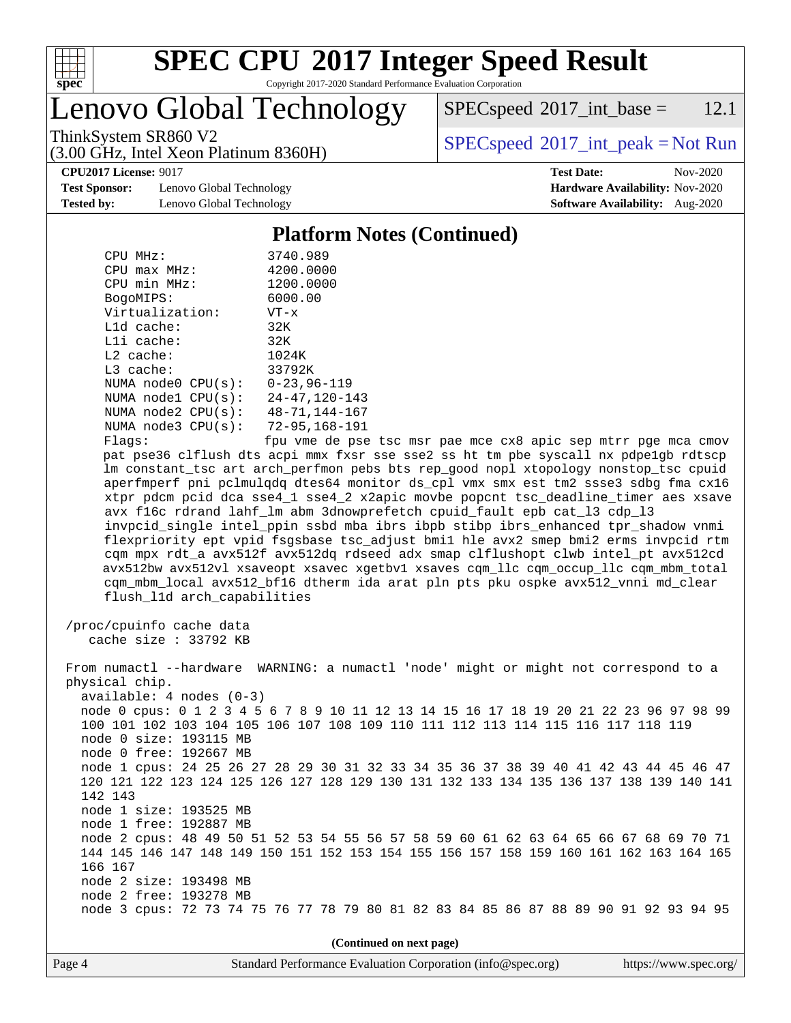

Lenovo Global Technology

 $SPEC speed^{\circ}2017\_int\_base = 12.1$ 

(3.00 GHz, Intel Xeon Platinum 8360H)

ThinkSystem SR860 V2  $\begin{array}{c} \text{SPEC speed} \textdegree 2017\_int\_peak = Not Run \end{array}$ 

**[Test Sponsor:](http://www.spec.org/auto/cpu2017/Docs/result-fields.html#TestSponsor)** Lenovo Global Technology **[Hardware Availability:](http://www.spec.org/auto/cpu2017/Docs/result-fields.html#HardwareAvailability)** Nov-2020 **[Tested by:](http://www.spec.org/auto/cpu2017/Docs/result-fields.html#Testedby)** Lenovo Global Technology **[Software Availability:](http://www.spec.org/auto/cpu2017/Docs/result-fields.html#SoftwareAvailability)** Aug-2020

**[CPU2017 License:](http://www.spec.org/auto/cpu2017/Docs/result-fields.html#CPU2017License)** 9017 **[Test Date:](http://www.spec.org/auto/cpu2017/Docs/result-fields.html#TestDate)** Nov-2020

#### **[Platform Notes \(Continued\)](http://www.spec.org/auto/cpu2017/Docs/result-fields.html#PlatformNotes)**

| CPU MHz:           | 3740.989             |
|--------------------|----------------------|
| $CPU$ max $MHz$ :  | 4200.0000            |
| CPU min MHz:       | 1200.0000            |
| BogoMIPS:          | 6000.00              |
| Virtualization:    | $VT - x$             |
| $L1d$ cache:       | 32K                  |
| $L1i$ cache:       | 32K                  |
| $L2$ cache:        | 1024K                |
| $L3$ cache:        | 33792K               |
| NUMA node0 CPU(s): | $0 - 23.96 - 119$    |
| NUMA node1 CPU(s): | $24 - 47, 120 - 143$ |
| NUMA node2 CPU(s): | $48 - 71, 144 - 167$ |
| NUMA node3 CPU(s): | 72-95,168-191        |
| Flacs:             | fnu vme de nse       |

Flags: fpu vme de pse tsc msr pae mce cx8 apic sep mtrr pge mca cmov pat pse36 clflush dts acpi mmx fxsr sse sse2 ss ht tm pbe syscall nx pdpe1gb rdtscp lm constant\_tsc art arch\_perfmon pebs bts rep\_good nopl xtopology nonstop\_tsc cpuid aperfmperf pni pclmulqdq dtes64 monitor ds\_cpl vmx smx est tm2 ssse3 sdbg fma cx16 xtpr pdcm pcid dca sse4\_1 sse4\_2 x2apic movbe popcnt tsc\_deadline\_timer aes xsave avx f16c rdrand lahf\_lm abm 3dnowprefetch cpuid\_fault epb cat\_l3 cdp\_l3 invpcid\_single intel\_ppin ssbd mba ibrs ibpb stibp ibrs\_enhanced tpr\_shadow vnmi flexpriority ept vpid fsgsbase tsc\_adjust bmi1 hle avx2 smep bmi2 erms invpcid rtm cqm mpx rdt\_a avx512f avx512dq rdseed adx smap clflushopt clwb intel\_pt avx512cd avx512bw avx512vl xsaveopt xsavec xgetbv1 xsaves cqm\_llc cqm\_occup\_llc cqm\_mbm\_total cqm\_mbm\_local avx512\_bf16 dtherm ida arat pln pts pku ospke avx512\_vnni md\_clear flush\_l1d arch\_capabilities

 /proc/cpuinfo cache data cache size : 33792 KB

 From numactl --hardware WARNING: a numactl 'node' might or might not correspond to a physical chip. available: 4 nodes (0-3) node 0 cpus: 0 1 2 3 4 5 6 7 8 9 10 11 12 13 14 15 16 17 18 19 20 21 22 23 96 97 98 99 100 101 102 103 104 105 106 107 108 109 110 111 112 113 114 115 116 117 118 119 node 0 size: 193115 MB node 0 free: 192667 MB node 1 cpus: 24 25 26 27 28 29 30 31 32 33 34 35 36 37 38 39 40 41 42 43 44 45 46 47 120 121 122 123 124 125 126 127 128 129 130 131 132 133 134 135 136 137 138 139 140 141 142 143 node 1 size: 193525 MB node 1 free: 192887 MB node 2 cpus: 48 49 50 51 52 53 54 55 56 57 58 59 60 61 62 63 64 65 66 67 68 69 70 71 144 145 146 147 148 149 150 151 152 153 154 155 156 157 158 159 160 161 162 163 164 165 166 167 node 2 size: 193498 MB node 2 free: 193278 MB node 3 cpus: 72 73 74 75 76 77 78 79 80 81 82 83 84 85 86 87 88 89 90 91 92 93 94 95

**(Continued on next page)**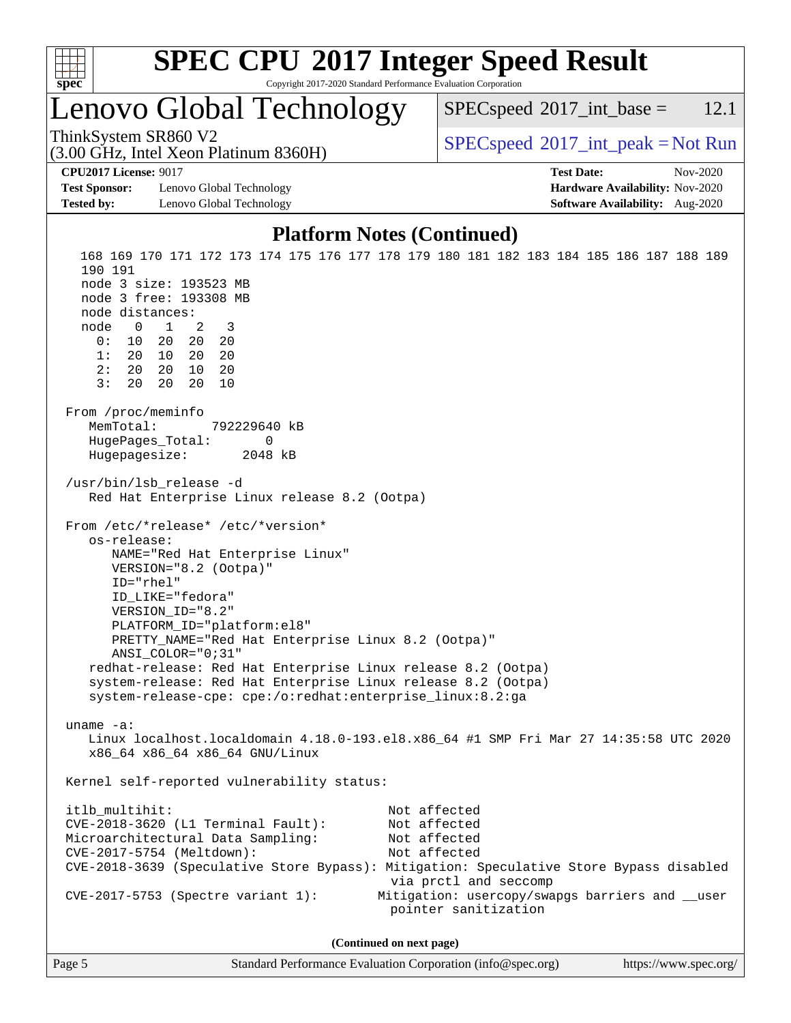

# Lenovo Global Technology

 $SPECspeed^{\circ}2017\_int\_base = 12.1$  $SPECspeed^{\circ}2017\_int\_base = 12.1$ 

(3.00 GHz, Intel Xeon Platinum 8360H)

ThinkSystem SR860 V2  $\begin{array}{c} \text{SPEC speed} \textdegree 2017\_int\_peak = Not Run \end{array}$ 

**[CPU2017 License:](http://www.spec.org/auto/cpu2017/Docs/result-fields.html#CPU2017License)** 9017 **[Test Date:](http://www.spec.org/auto/cpu2017/Docs/result-fields.html#TestDate)** Nov-2020

**[Test Sponsor:](http://www.spec.org/auto/cpu2017/Docs/result-fields.html#TestSponsor)** Lenovo Global Technology **[Hardware Availability:](http://www.spec.org/auto/cpu2017/Docs/result-fields.html#HardwareAvailability)** Nov-2020 **[Tested by:](http://www.spec.org/auto/cpu2017/Docs/result-fields.html#Testedby)** Lenovo Global Technology **[Software Availability:](http://www.spec.org/auto/cpu2017/Docs/result-fields.html#SoftwareAvailability)** Aug-2020

#### **[Platform Notes \(Continued\)](http://www.spec.org/auto/cpu2017/Docs/result-fields.html#PlatformNotes)**

 168 169 170 171 172 173 174 175 176 177 178 179 180 181 182 183 184 185 186 187 188 189 190 191 node 3 size: 193523 MB node 3 free: 193308 MB node distances: node 0 1 2 3 0: 10 20 20 20 1: 20 10 20 20 2: 20 20 10 20 3: 20 20 20 10 From /proc/meminfo MemTotal: 792229640 kB HugePages\_Total: 0 Hugepagesize: 2048 kB /usr/bin/lsb\_release -d Red Hat Enterprise Linux release 8.2 (Ootpa) From /etc/\*release\* /etc/\*version\* os-release: NAME="Red Hat Enterprise Linux" VERSION="8.2 (Ootpa)" ID="rhel" ID\_LIKE="fedora" VERSION\_ID="8.2" PLATFORM\_ID="platform:el8" PRETTY\_NAME="Red Hat Enterprise Linux 8.2 (Ootpa)" ANSI\_COLOR="0;31" redhat-release: Red Hat Enterprise Linux release 8.2 (Ootpa) system-release: Red Hat Enterprise Linux release 8.2 (Ootpa) system-release-cpe: cpe:/o:redhat:enterprise\_linux:8.2:ga uname -a: Linux localhost.localdomain 4.18.0-193.el8.x86\_64 #1 SMP Fri Mar 27 14:35:58 UTC 2020 x86\_64 x86\_64 x86\_64 GNU/Linux Kernel self-reported vulnerability status: itlb\_multihit: Not affected CVE-2018-3620 (L1 Terminal Fault): Not affected Microarchitectural Data Sampling: Not affected CVE-2017-5754 (Meltdown): Not affected CVE-2018-3639 (Speculative Store Bypass): Mitigation: Speculative Store Bypass disabled via prctl and seccomp CVE-2017-5753 (Spectre variant 1): Mitigation: usercopy/swapgs barriers and \_\_user pointer sanitization **(Continued on next page)**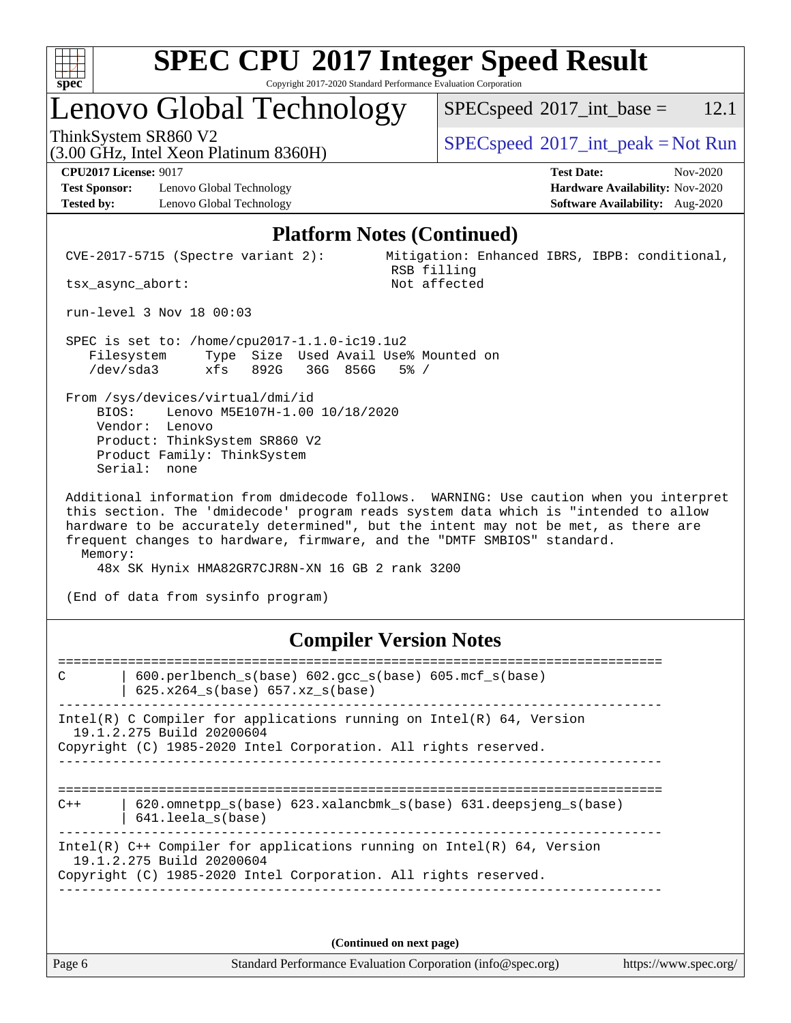

# **[SPEC CPU](http://www.spec.org/auto/cpu2017/Docs/result-fields.html#SPECCPU2017IntegerSpeedResult)[2017 Integer Speed Result](http://www.spec.org/auto/cpu2017/Docs/result-fields.html#SPECCPU2017IntegerSpeedResult)**

Copyright 2017-2020 Standard Performance Evaluation Corporation

# Lenovo Global Technology

 $SPECspeed^{\circ}2017\_int\_base = 12.1$  $SPECspeed^{\circ}2017\_int\_base = 12.1$ 

(3.00 GHz, Intel Xeon Platinum 8360H)

ThinkSystem SR860 V2  $\begin{array}{c} \text{SPEC speed} \textdegree 2017\_int\_peak = Not Run \end{array}$ 

**[Test Sponsor:](http://www.spec.org/auto/cpu2017/Docs/result-fields.html#TestSponsor)** Lenovo Global Technology **[Hardware Availability:](http://www.spec.org/auto/cpu2017/Docs/result-fields.html#HardwareAvailability)** Nov-2020 **[Tested by:](http://www.spec.org/auto/cpu2017/Docs/result-fields.html#Testedby)** Lenovo Global Technology **[Software Availability:](http://www.spec.org/auto/cpu2017/Docs/result-fields.html#SoftwareAvailability)** Aug-2020

**[CPU2017 License:](http://www.spec.org/auto/cpu2017/Docs/result-fields.html#CPU2017License)** 9017 **[Test Date:](http://www.spec.org/auto/cpu2017/Docs/result-fields.html#TestDate)** Nov-2020

#### **[Platform Notes \(Continued\)](http://www.spec.org/auto/cpu2017/Docs/result-fields.html#PlatformNotes)**

 CVE-2017-5715 (Spectre variant 2): Mitigation: Enhanced IBRS, IBPB: conditional, RSB filling<br>Not affected

tsx\_async\_abort:

run-level 3 Nov 18 00:03

 SPEC is set to: /home/cpu2017-1.1.0-ic19.1u2 Filesystem Type Size Used Avail Use% Mounted on /dev/sda3 xfs 892G 36G 856G 5% /

 From /sys/devices/virtual/dmi/id BIOS: Lenovo M5E107H-1.00 10/18/2020 Vendor: Lenovo Product: ThinkSystem SR860 V2 Product Family: ThinkSystem Serial: none

 Additional information from dmidecode follows. WARNING: Use caution when you interpret this section. The 'dmidecode' program reads system data which is "intended to allow hardware to be accurately determined", but the intent may not be met, as there are frequent changes to hardware, firmware, and the "DMTF SMBIOS" standard. Memory:

48x SK Hynix HMA82GR7CJR8N-XN 16 GB 2 rank 3200

(End of data from sysinfo program)

#### **[Compiler Version Notes](http://www.spec.org/auto/cpu2017/Docs/result-fields.html#CompilerVersionNotes)**

============================================================================== C | 600.perlbench\_s(base) 602.gcc\_s(base) 605.mcf\_s(base) | 625.x264\_s(base) 657.xz\_s(base) ------------------------------------------------------------------------------ Intel(R) C Compiler for applications running on Intel(R)  $64$ , Version 19.1.2.275 Build 20200604 Copyright (C) 1985-2020 Intel Corporation. All rights reserved. ------------------------------------------------------------------------------ ============================================================================== C++ | 620.omnetpp\_s(base) 623.xalancbmk\_s(base) 631.deepsjeng\_s(base) | 641.leela\_s(base) ------------------------------------------------------------------------------ Intel(R) C++ Compiler for applications running on Intel(R) 64, Version 19.1.2.275 Build 20200604 Copyright (C) 1985-2020 Intel Corporation. All rights reserved. ------------------------------------------------------------------------------

**(Continued on next page)**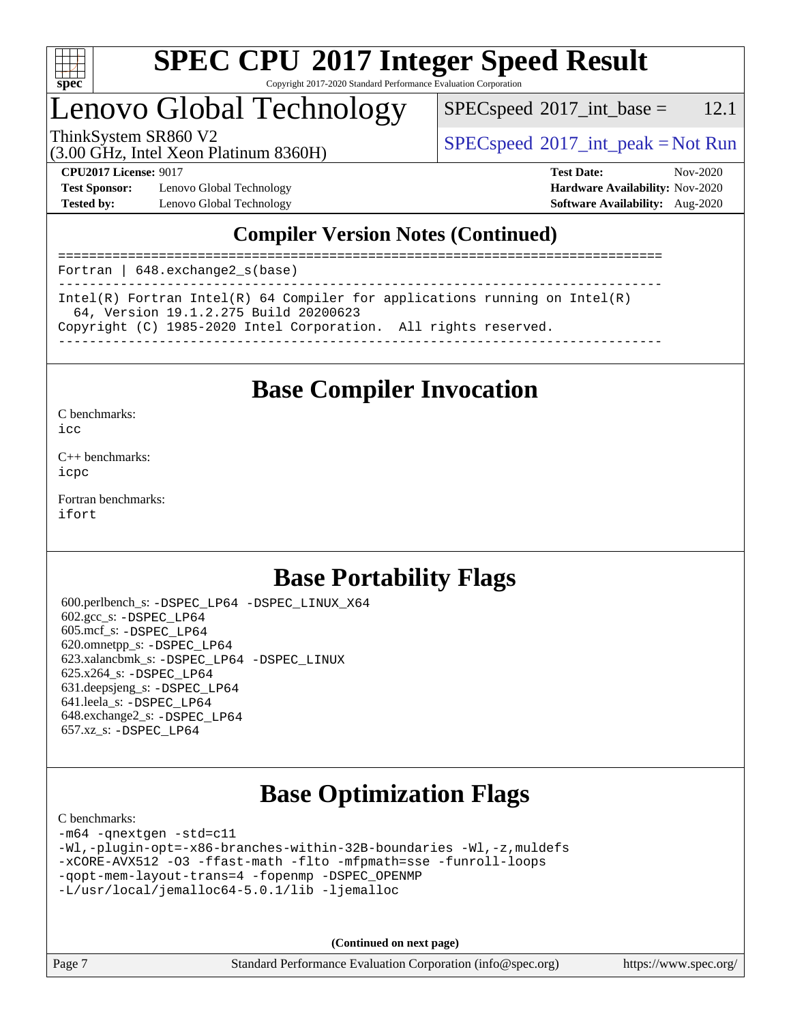

# **[SPEC CPU](http://www.spec.org/auto/cpu2017/Docs/result-fields.html#SPECCPU2017IntegerSpeedResult)[2017 Integer Speed Result](http://www.spec.org/auto/cpu2017/Docs/result-fields.html#SPECCPU2017IntegerSpeedResult)**

Copyright 2017-2020 Standard Performance Evaluation Corporation

# Lenovo Global Technology

 $SPECspeed^{\circ}2017\_int\_base = 12.1$  $SPECspeed^{\circ}2017\_int\_base = 12.1$ 

(3.00 GHz, Intel Xeon Platinum 8360H)

ThinkSystem SR860 V2  $\begin{array}{c} \text{SPEC speed} \textdegree 2017\_int\_peak = Not Run \end{array}$ 

**[Test Sponsor:](http://www.spec.org/auto/cpu2017/Docs/result-fields.html#TestSponsor)** Lenovo Global Technology **[Hardware Availability:](http://www.spec.org/auto/cpu2017/Docs/result-fields.html#HardwareAvailability)** Nov-2020 **[Tested by:](http://www.spec.org/auto/cpu2017/Docs/result-fields.html#Testedby)** Lenovo Global Technology **[Software Availability:](http://www.spec.org/auto/cpu2017/Docs/result-fields.html#SoftwareAvailability)** Aug-2020

**[CPU2017 License:](http://www.spec.org/auto/cpu2017/Docs/result-fields.html#CPU2017License)** 9017 **[Test Date:](http://www.spec.org/auto/cpu2017/Docs/result-fields.html#TestDate)** Nov-2020

### **[Compiler Version Notes \(Continued\)](http://www.spec.org/auto/cpu2017/Docs/result-fields.html#CompilerVersionNotes)**

============================================================================== Fortran | 648.exchange2\_s(base) ------------------------------------------------------------------------------ Intel(R) Fortran Intel(R) 64 Compiler for applications running on Intel(R) 64, Version 19.1.2.275 Build 20200623 Copyright (C) 1985-2020 Intel Corporation. All rights reserved. ------------------------------------------------------------------------------

## **[Base Compiler Invocation](http://www.spec.org/auto/cpu2017/Docs/result-fields.html#BaseCompilerInvocation)**

[C benchmarks](http://www.spec.org/auto/cpu2017/Docs/result-fields.html#Cbenchmarks):

[icc](http://www.spec.org/cpu2017/results/res2020q4/cpu2017-20201123-24466.flags.html#user_CCbase_intel_icc_66fc1ee009f7361af1fbd72ca7dcefbb700085f36577c54f309893dd4ec40d12360134090235512931783d35fd58c0460139e722d5067c5574d8eaf2b3e37e92)

[C++ benchmarks:](http://www.spec.org/auto/cpu2017/Docs/result-fields.html#CXXbenchmarks) [icpc](http://www.spec.org/cpu2017/results/res2020q4/cpu2017-20201123-24466.flags.html#user_CXXbase_intel_icpc_c510b6838c7f56d33e37e94d029a35b4a7bccf4766a728ee175e80a419847e808290a9b78be685c44ab727ea267ec2f070ec5dc83b407c0218cded6866a35d07)

[Fortran benchmarks](http://www.spec.org/auto/cpu2017/Docs/result-fields.html#Fortranbenchmarks): [ifort](http://www.spec.org/cpu2017/results/res2020q4/cpu2017-20201123-24466.flags.html#user_FCbase_intel_ifort_8111460550e3ca792625aed983ce982f94888b8b503583aa7ba2b8303487b4d8a21a13e7191a45c5fd58ff318f48f9492884d4413fa793fd88dd292cad7027ca)

## **[Base Portability Flags](http://www.spec.org/auto/cpu2017/Docs/result-fields.html#BasePortabilityFlags)**

 600.perlbench\_s: [-DSPEC\\_LP64](http://www.spec.org/cpu2017/results/res2020q4/cpu2017-20201123-24466.flags.html#b600.perlbench_s_basePORTABILITY_DSPEC_LP64) [-DSPEC\\_LINUX\\_X64](http://www.spec.org/cpu2017/results/res2020q4/cpu2017-20201123-24466.flags.html#b600.perlbench_s_baseCPORTABILITY_DSPEC_LINUX_X64) 602.gcc\_s: [-DSPEC\\_LP64](http://www.spec.org/cpu2017/results/res2020q4/cpu2017-20201123-24466.flags.html#suite_basePORTABILITY602_gcc_s_DSPEC_LP64) 605.mcf\_s: [-DSPEC\\_LP64](http://www.spec.org/cpu2017/results/res2020q4/cpu2017-20201123-24466.flags.html#suite_basePORTABILITY605_mcf_s_DSPEC_LP64) 620.omnetpp\_s: [-DSPEC\\_LP64](http://www.spec.org/cpu2017/results/res2020q4/cpu2017-20201123-24466.flags.html#suite_basePORTABILITY620_omnetpp_s_DSPEC_LP64) 623.xalancbmk\_s: [-DSPEC\\_LP64](http://www.spec.org/cpu2017/results/res2020q4/cpu2017-20201123-24466.flags.html#suite_basePORTABILITY623_xalancbmk_s_DSPEC_LP64) [-DSPEC\\_LINUX](http://www.spec.org/cpu2017/results/res2020q4/cpu2017-20201123-24466.flags.html#b623.xalancbmk_s_baseCXXPORTABILITY_DSPEC_LINUX) 625.x264\_s: [-DSPEC\\_LP64](http://www.spec.org/cpu2017/results/res2020q4/cpu2017-20201123-24466.flags.html#suite_basePORTABILITY625_x264_s_DSPEC_LP64) 631.deepsjeng\_s: [-DSPEC\\_LP64](http://www.spec.org/cpu2017/results/res2020q4/cpu2017-20201123-24466.flags.html#suite_basePORTABILITY631_deepsjeng_s_DSPEC_LP64) 641.leela\_s: [-DSPEC\\_LP64](http://www.spec.org/cpu2017/results/res2020q4/cpu2017-20201123-24466.flags.html#suite_basePORTABILITY641_leela_s_DSPEC_LP64) 648.exchange2\_s: [-DSPEC\\_LP64](http://www.spec.org/cpu2017/results/res2020q4/cpu2017-20201123-24466.flags.html#suite_basePORTABILITY648_exchange2_s_DSPEC_LP64) 657.xz\_s: [-DSPEC\\_LP64](http://www.spec.org/cpu2017/results/res2020q4/cpu2017-20201123-24466.flags.html#suite_basePORTABILITY657_xz_s_DSPEC_LP64)

# **[Base Optimization Flags](http://www.spec.org/auto/cpu2017/Docs/result-fields.html#BaseOptimizationFlags)**

#### [C benchmarks](http://www.spec.org/auto/cpu2017/Docs/result-fields.html#Cbenchmarks):

```
-m64 -qnextgen -std=c11
-Wl,-plugin-opt=-x86-branches-within-32B-boundaries -Wl,-z,muldefs
-xCORE-AVX512 -O3 -ffast-math -flto -mfpmath=sse -funroll-loops
-qopt-mem-layout-trans=4 -fopenmp -DSPEC_OPENMP
-L/usr/local/jemalloc64-5.0.1/lib -ljemalloc
```
**(Continued on next page)**

Page 7 Standard Performance Evaluation Corporation [\(info@spec.org\)](mailto:info@spec.org) <https://www.spec.org/>